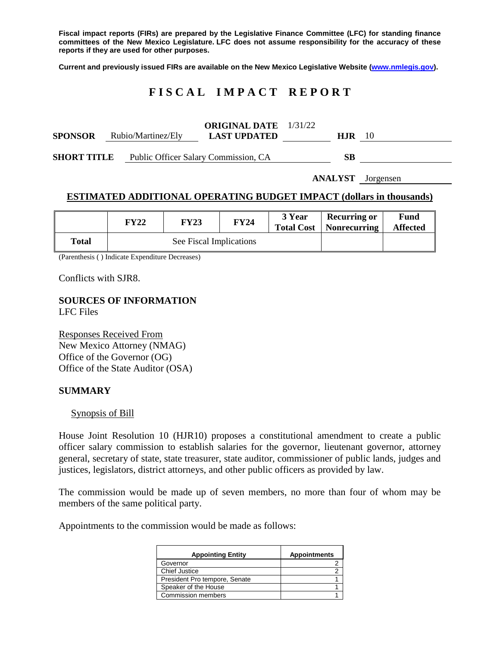**Fiscal impact reports (FIRs) are prepared by the Legislative Finance Committee (LFC) for standing finance committees of the New Mexico Legislature. LFC does not assume responsibility for the accuracy of these reports if they are used for other purposes.**

**Current and previously issued FIRs are available on the New Mexico Legislative Website [\(www.nmlegis.gov\)](http://www.nmlegis.gov/).**

# **F I S C A L I M P A C T R E P O R T**

| <b>SPONSOR</b>     | Rubio/Martinez/Ely | <b>ORIGINAL DATE</b> 1/31/22<br><b>LAST UPDATED</b> | H.IR. | 10 |
|--------------------|--------------------|-----------------------------------------------------|-------|----|
| <b>SHORT TITLE</b> |                    | Public Officer Salary Commission, CA                | SВ    |    |

**ANALYST** Jorgensen

# **ESTIMATED ADDITIONAL OPERATING BUDGET IMPACT (dollars in thousands)**

|       | <b>FY22</b>             | <b>FY23</b> | <b>FY24</b> | 3 Year<br><b>Total Cost</b> | <b>Recurring or</b><br><b>Nonrecurring</b> | Fund<br><b>Affected</b> |
|-------|-------------------------|-------------|-------------|-----------------------------|--------------------------------------------|-------------------------|
| Total | See Fiscal Implications |             |             |                             |                                            |                         |

(Parenthesis ( ) Indicate Expenditure Decreases)

Conflicts with SJR8.

## **SOURCES OF INFORMATION** LFC Files

Responses Received From New Mexico Attorney (NMAG) Office of the Governor (OG) Office of the State Auditor (OSA)

# **SUMMARY**

#### Synopsis of Bill

House Joint Resolution 10 (HJR10) proposes a constitutional amendment to create a public officer salary commission to establish salaries for the governor, lieutenant governor, attorney general, secretary of state, state treasurer, state auditor, commissioner of public lands, judges and justices, legislators, district attorneys, and other public officers as provided by law.

The commission would be made up of seven members, no more than four of whom may be members of the same political party.

Appointments to the commission would be made as follows:

| <b>Appointing Entity</b>      | <b>Appointments</b> |
|-------------------------------|---------------------|
| Governor                      |                     |
| <b>Chief Justice</b>          |                     |
| President Pro tempore, Senate |                     |
| Speaker of the House          |                     |
| <b>Commission members</b>     |                     |